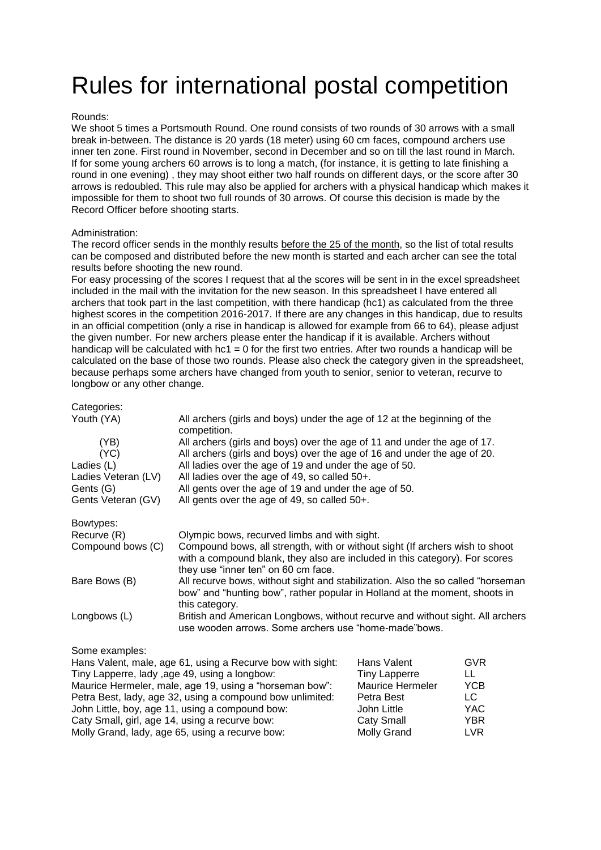## Rules for international postal competition

## Rounds:

We shoot 5 times a Portsmouth Round. One round consists of two rounds of 30 arrows with a small break in-between. The distance is 20 yards (18 meter) using 60 cm faces, compound archers use inner ten zone. First round in November, second in December and so on till the last round in March. If for some young archers 60 arrows is to long a match, (for instance, it is getting to late finishing a round in one evening) , they may shoot either two half rounds on different days, or the score after 30 arrows is redoubled. This rule may also be applied for archers with a physical handicap which makes it impossible for them to shoot two full rounds of 30 arrows. Of course this decision is made by the Record Officer before shooting starts.

## Administration:

The record officer sends in the monthly results before the 25 of the month, so the list of total results can be composed and distributed before the new month is started and each archer can see the total results before shooting the new round.

For easy processing of the scores I request that al the scores will be sent in in the excel spreadsheet included in the mail with the invitation for the new season. In this spreadsheet I have entered all archers that took part in the last competition, with there handicap (hc1) as calculated from the three highest scores in the competition 2016-2017. If there are any changes in this handicap, due to results in an official competition (only a rise in handicap is allowed for example from 66 to 64), please adjust the given number. For new archers please enter the handicap if it is available. Archers without handicap will be calculated with hc1 = 0 for the first two entries. After two rounds a handicap will be calculated on the base of those two rounds. Please also check the category given in the spreadsheet, because perhaps some archers have changed from youth to senior, senior to veteran, recurve to longbow or any other change.

| Categories:         |                                                                                                                                                                                                    |
|---------------------|----------------------------------------------------------------------------------------------------------------------------------------------------------------------------------------------------|
| Youth (YA)          | All archers (girls and boys) under the age of 12 at the beginning of the<br>competition.                                                                                                           |
| (YB)                | All archers (girls and boys) over the age of 11 and under the age of 17.                                                                                                                           |
| (YC)                | All archers (girls and boys) over the age of 16 and under the age of 20.                                                                                                                           |
| Ladies (L)          | All ladies over the age of 19 and under the age of 50.                                                                                                                                             |
| Ladies Veteran (LV) | All ladies over the age of 49, so called 50+.                                                                                                                                                      |
| Gents (G)           | All gents over the age of 19 and under the age of 50.                                                                                                                                              |
| Gents Veteran (GV)  | All gents over the age of 49, so called 50+.                                                                                                                                                       |
| Bowtypes:           |                                                                                                                                                                                                    |
| Recurve (R)         | Olympic bows, recurved limbs and with sight.                                                                                                                                                       |
| Compound bows (C)   | Compound bows, all strength, with or without sight (If archers wish to shoot<br>with a compound blank, they also are included in this category). For scores<br>they use "inner ten" on 60 cm face. |
| Bare Bows (B)       | All recurve bows, without sight and stabilization. Also the so called "horseman"<br>bow" and "hunting bow", rather popular in Holland at the moment, shoots in                                     |
| Longbows (L)        | this category.<br>British and American Longbows, without recurve and without sight. All archers<br>use wooden arrows. Some archers use "home-made"bows.                                            |

## Some examples:

| Hans Valent, male, age 61, using a Recurve bow with sight: | Hans Valent             | <b>GVR</b> |
|------------------------------------------------------------|-------------------------|------------|
| Tiny Lapperre, lady ,age 49, using a longbow:              | <b>Tiny Lapperre</b>    | LL         |
| Maurice Hermeler, male, age 19, using a "horseman bow":    | <b>Maurice Hermeler</b> | <b>YCB</b> |
| Petra Best, lady, age 32, using a compound bow unlimited:  | Petra Best              | LC         |
| John Little, boy, age 11, using a compound bow:            | John Little             | YAC.       |
| Caty Small, girl, age 14, using a recurve bow:             | <b>Caty Small</b>       | YBR        |
| Molly Grand, lady, age 65, using a recurve bow:            | <b>Molly Grand</b>      | <b>LVR</b> |